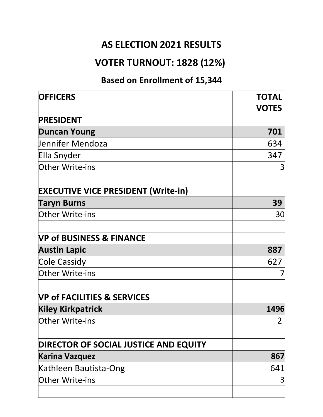#### **AS ELECTION 2021 RESULTS**

### **VOTER TURNOUT: 1828 (12%)**

### **Based on Enrollment of 15,344**

| <b>TOTAL</b><br><b>VOTES</b> |
|------------------------------|
|                              |
| 701                          |
| 634                          |
| 347                          |
| 3                            |
|                              |
| 39                           |
| 30                           |
|                              |
| 887                          |
| 627                          |
|                              |
|                              |
| 1496                         |
| 2                            |
|                              |
| 867                          |
| 641                          |
| 3                            |
|                              |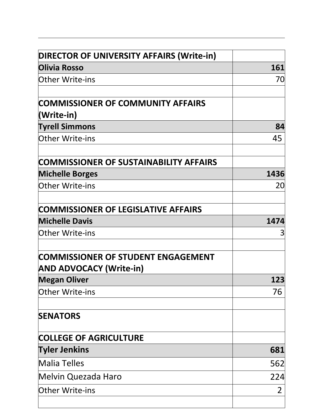| <b>DIRECTOR OF UNIVERSITY AFFAIRS (Write-in)</b>                            |      |
|-----------------------------------------------------------------------------|------|
| <b>Olivia Rosso</b>                                                         | 161  |
| <b>Other Write-ins</b>                                                      | 70   |
| <b>COMMISSIONER OF COMMUNITY AFFAIRS</b><br>(Write-in)                      |      |
| <b>Tyrell Simmons</b>                                                       | 84   |
| <b>Other Write-ins</b>                                                      | 45   |
| COMMISSIONER OF SUSTAINABILITY AFFAIRS                                      |      |
| <b>Michelle Borges</b>                                                      | 1436 |
| <b>Other Write-ins</b>                                                      | 20   |
| COMMISSIONER OF LEGISLATIVE AFFAIRS                                         |      |
| <b>Michelle Davis</b>                                                       | 1474 |
| <b>Other Write-ins</b>                                                      | З    |
| <b>COMMISSIONER OF STUDENT ENGAGEMENT</b><br><b>AND ADVOCACY (Write-in)</b> |      |
| <b>Megan Oliver</b>                                                         | 123  |
| <b>Other Write-ins</b>                                                      | 76   |
| <b>SENATORS</b>                                                             |      |
| <b>COLLEGE OF AGRICULTURE</b>                                               |      |
| <b>Tyler Jenkins</b>                                                        | 681  |
| <b>Malia Telles</b>                                                         | 562  |
| Melvin Quezada Haro                                                         | 224  |
| <b>Other Write-ins</b>                                                      | 2    |
|                                                                             |      |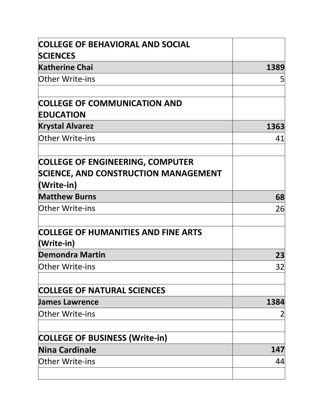| <b>COLLEGE OF BEHAVIORAL AND SOCIAL</b><br><b>SCIENCES</b>                             |      |
|----------------------------------------------------------------------------------------|------|
| <b>Katherine Chai</b>                                                                  | 1389 |
| <b>Other Write-ins</b>                                                                 | 5    |
| <b>COLLEGE OF COMMUNICATION AND</b>                                                    |      |
| <b>EDUCATION</b>                                                                       |      |
| <b>Krystal Alvarez</b>                                                                 | 1363 |
| <b>Other Write-ins</b>                                                                 | 41   |
| <b>COLLEGE OF ENGINEERING, COMPUTER</b><br><b>SCIENCE, AND CONSTRUCTION MANAGEMENT</b> |      |
| (Write-in)<br><b>Matthew Burns</b>                                                     |      |
| <b>Other Write-ins</b>                                                                 | 68   |
|                                                                                        | 26   |
| <b>COLLEGE OF HUMANITIES AND FINE ARTS</b><br>(Write-in)                               |      |
| <b>Demondra Martin</b>                                                                 | 23   |
| <b>Other Write-ins</b>                                                                 | 32   |
| <b>COLLEGE OF NATURAL SCIENCES</b>                                                     |      |
| <b>James Lawrence</b>                                                                  | 1384 |
| <b>Other Write-ins</b>                                                                 |      |
| <b>COLLEGE OF BUSINESS (Write-in)</b>                                                  |      |
| Nina Cardinale                                                                         | 147  |
| <b>Other Write-ins</b>                                                                 | 44   |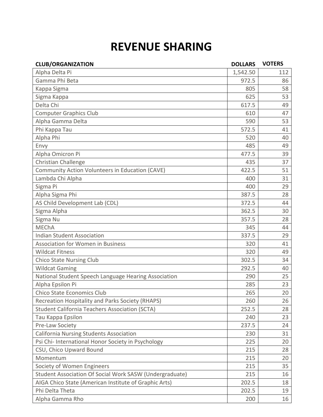## **REVENUE SHARING**

| <b>CLUB/ORGANIZATION</b>                                | <b>DOLLARS</b> | <b>VOTERS</b> |
|---------------------------------------------------------|----------------|---------------|
| Alpha Delta Pi                                          | 1,542.50       | 112           |
| Gamma Phi Beta                                          | 972.5          | 86            |
| Kappa Sigma                                             | 805            | 58            |
| Sigma Kappa                                             | 625            | 53            |
| Delta Chi                                               | 617.5          | 49            |
| <b>Computer Graphics Club</b>                           | 610            | 47            |
| Alpha Gamma Delta                                       | 590            | 53            |
| Phi Kappa Tau                                           | 572.5          | 41            |
| Alpha Phi                                               | 520            | 40            |
| Envy                                                    | 485            | 49            |
| Alpha Omicron Pi                                        | 477.5          | 39            |
| Christian Challenge                                     | 435            | 37            |
| Community Action Volunteers in Education (CAVE)         | 422.5          | 51            |
| Lambda Chi Alpha                                        | 400            | 31            |
| Sigma Pi                                                | 400            | 29            |
| Alpha Sigma Phi                                         | 387.5          | 28            |
| AS Child Development Lab (CDL)                          | 372.5          | 44            |
| Sigma Alpha                                             | 362.5          | 30            |
| Sigma Nu                                                | 357.5          | 28            |
| <b>MEChA</b>                                            | 345            | 44            |
| <b>Indian Student Association</b>                       | 337.5          | 29            |
| Association for Women in Business                       | 320            | 41            |
| <b>Wildcat Fitness</b>                                  | 320            | 49            |
| <b>Chico State Nursing Club</b>                         | 302.5          | 34            |
| <b>Wildcat Gaming</b>                                   | 292.5          | 40            |
| National Student Speech Language Hearing Association    | 290            | 25            |
| Alpha Epsilon Pi                                        | 285            | 23            |
| <b>Chico State Economics Club</b>                       | 265            | 20            |
| Recreation Hospitality and Parks Society (RHAPS)        | 260            | 26            |
| <b>Student California Teachers Association (SCTA)</b>   | 252.5          | 28            |
| Tau Kappa Epsilon                                       | 240            | 23            |
| Pre-Law Society                                         | 237.5          | 24            |
| <b>California Nursing Students Association</b>          | 230            | 31            |
| Psi Chi- International Honor Society in Psychology      | 225            | 20            |
| CSU, Chico Upward Bound                                 | 215            | 28            |
| Momentum                                                | 215            | 20            |
| Society of Women Engineers                              | 215            | 35            |
| Student Association Of Social Work SASW (Undergraduate) | 215            | 16            |
| AIGA Chico State (American Institute of Graphic Arts)   | 202.5          | 18            |
| Phi Delta Theta                                         | 202.5          | 19            |
| Alpha Gamma Rho                                         | 200            | 16            |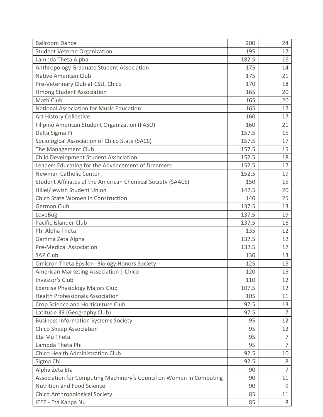| <b>Ballroom Dance</b>                                               | 200   | 24             |
|---------------------------------------------------------------------|-------|----------------|
| <b>Student Veteran Organization</b>                                 | 195   | 17             |
| Lambda Theta Alpha                                                  | 182.5 | 16             |
| Anthropology Graduate Student Association                           | 175   | 14             |
| <b>Native American Club</b>                                         | 175   | 21             |
| Pre-Veterinary Club at CSU, Chico                                   | 170   | 18             |
| <b>Hmong Student Association</b>                                    | 165   | 20             |
| Math Club                                                           | 165   | 20             |
| <b>National Association for Music Education</b>                     | 165   | 17             |
| <b>Art History Collective</b>                                       | 160   | 17             |
| Filipino American Student Organization (FASO)                       | 160   | 21             |
| Delta Sigma Pi                                                      | 157.5 | 15             |
| Sociological Association of Chico State (SACS)                      | 157.5 | 17             |
| The Management Club                                                 | 157.5 | 15             |
| Child Development Student Association                               | 152.5 | 18             |
| Leaders Educating for the Advancement of Dreamers                   | 152.5 | 17             |
| Newman Catholic Center                                              | 152.5 | 19             |
| Student Affiliates of the American Chemical Society (SAACS)         | 150   | 15             |
| Hillel/Jewish Student Union                                         | 142.5 | 20             |
| Chico State Women in Construction                                   | 140   | 25             |
| <b>German Club</b>                                                  | 137.5 | 13             |
| LoveBug                                                             | 137.5 | 19             |
| Pacific Islander Club                                               | 137.5 | 16             |
| Phi Alpha Theta                                                     | 135   | 12             |
| Gamma Zeta Alpha                                                    | 132.5 | 12             |
| <b>Pre-Medical Association</b>                                      | 132.5 | 17             |
| <b>SAP Club</b>                                                     | 130   | 13             |
| <b>Omicron Theta Epsilon- Biology Honors Society</b>                | 125   | 15             |
| American Marketing Association   Chico                              | 120   | 15             |
| Investor's Club                                                     | 110   | 12             |
| <b>Exercise Physiology Majors Club</b>                              | 107.5 | 12             |
| <b>Health Professionals Association</b>                             | 105   | 11             |
| Crop Science and Horticulture Club                                  | 97.5  | 13             |
| Latitude 39 (Geography Club)                                        | 97.5  | $\overline{7}$ |
| <b>Business Information Systems Society</b>                         | 95    | 12             |
| <b>Chico Sheep Association</b>                                      | 95    | 12             |
| Eta Mu Theta                                                        | 95    | 7              |
| Lambda Theta Phi                                                    | 95    | $\overline{7}$ |
| Chico Health Administration Club                                    | 92.5  | 10             |
| Sigma Chi                                                           | 92.5  | 8              |
| Alpha Zeta Eta                                                      | 90    | $\overline{7}$ |
| Association for Computing Machinery's Council on Women in Computing | 90    | 11             |
| <b>Nutrition and Food Science</b>                                   | 90    | 9              |
| Chico Anthropological Society                                       | 85    | 11             |
| IEEE - Eta Kappa Nu                                                 | 85    | 8              |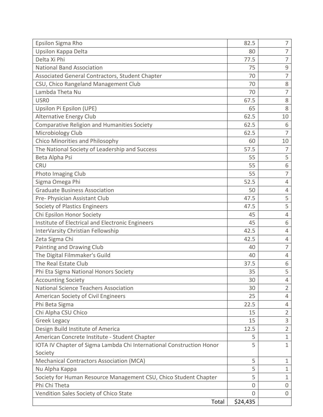| Epsilon Sigma Rho                                                    | 82.5     | 7              |
|----------------------------------------------------------------------|----------|----------------|
| Upsilon Kappa Delta                                                  | 80       | $\overline{7}$ |
| Delta Xi Phi                                                         | 77.5     | 7              |
| <b>National Band Association</b>                                     | 75       | $\mathsf 9$    |
| Associated General Contractors, Student Chapter                      | 70       | 7              |
| CSU, Chico Rangeland Management Club                                 | 70       | 8              |
| Lambda Theta Nu                                                      | 70       | 7              |
| <b>USRO</b>                                                          | 67.5     | 8              |
| Upsilon Pi Epsilon (UPE)                                             | 65       | 8              |
| <b>Alternative Energy Club</b>                                       | 62.5     | 10             |
| <b>Comparative Religion and Humanities Society</b>                   | 62.5     | 6              |
| Microbiology Club                                                    | 62.5     | $\overline{7}$ |
| Chico Minorities and Philosophy                                      | 60       | 10             |
| The National Society of Leadership and Success                       | 57.5     | 7              |
| Beta Alpha Psi                                                       | 55       | 5              |
| <b>CRU</b>                                                           | 55       | 6              |
| Photo Imaging Club                                                   | 55       | 7              |
| Sigma Omega Phi                                                      | 52.5     | 4              |
| <b>Graduate Business Association</b>                                 | 50       | 4              |
| Pre- Physician Assistant Club                                        | 47.5     | 5              |
| Society of Plastics Engineers                                        | 47.5     | 5              |
| Chi Epsilon Honor Society                                            | 45       | 4              |
| Institute of Electrical and Electronic Engineers                     | 45       | 6              |
| InterVarsity Christian Fellowship                                    | 42.5     | 4              |
| Zeta Sigma Chi                                                       | 42.5     | 4              |
| Painting and Drawing Club                                            | 40       | $\overline{7}$ |
| The Digital Filmmaker's Guild                                        | 40       | 4              |
| The Real Estate Club                                                 | 37.5     | 6              |
| Phi Eta Sigma National Honors Society                                | 35       | 5              |
| <b>Accounting Society</b>                                            | 30       | 4              |
| <b>National Science Teachers Association</b>                         | 30       | $\overline{2}$ |
| American Society of Civil Engineers                                  | 25       | 4              |
| Phi Beta Sigma                                                       | 22.5     | 4              |
| Chi Alpha CSU Chico                                                  | 15       | $\overline{2}$ |
| <b>Greek Legacy</b>                                                  | 15       | $\mathsf 3$    |
| Design Build Institute of America                                    | 12.5     | $\overline{2}$ |
| American Concrete Institute - Student Chapter                        | 5        | $\mathbf 1$    |
| IOTA IV Chapter of Sigma Lambda Chi International Construction Honor | 5        | $\mathbf{1}$   |
| Society                                                              |          |                |
| Mechanical Contractors Association (MCA)                             | 5        | $\mathbf 1$    |
| Nu Alpha Kappa                                                       | 5        | 1              |
| Society for Human Resource Management CSU, Chico Student Chapter     | 5        | 1              |
| Phi Chi Theta                                                        | 0        | 0              |
| Vendition Sales Society of Chico State                               | 0        | 0              |
| Total                                                                | \$24,435 |                |